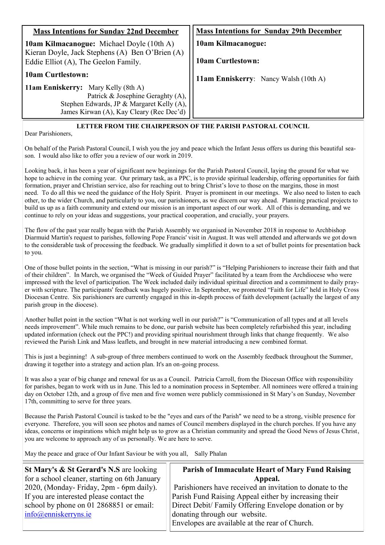| <b>Mass Intentions for Sunday 22nd December</b>                                                     | <b>Mass Intentions for Sunday 29th December</b> |
|-----------------------------------------------------------------------------------------------------|-------------------------------------------------|
| <b>10am Kilmacanogue:</b> Michael Doyle (10th A)<br>Kieran Doyle, Jack Stephens (A) Ben O'Brien (A) | 10am Kilmacanogue:                              |
| Eddie Elliot (A), The Geelon Family.                                                                | <b>10am Curtlestown:</b>                        |
| <b>10am Curtlestown:</b>                                                                            | 11am Enniskerry: Nancy Walsh (10th A)           |
| 11am Enniskerry: Mary Kelly (8th A)                                                                 |                                                 |
| Patrick & Josephine Geraghty (A),                                                                   |                                                 |
| Stephen Edwards, JP & Margaret Kelly (A),                                                           |                                                 |
| James Kirwan (A), Kay Cleary (Rec Dec'd)                                                            |                                                 |

#### **LETTER FROM THE CHAIRPERSON OF THE PARISH PASTORAL COUNCIL**

Dear Parishioners,

On behalf of the Parish Pastoral Council, I wish you the joy and peace which the Infant Jesus offers us during this beautiful season. I would also like to offer you a review of our work in 2019.

Looking back, it has been a year of significant new beginnings for the Parish Pastoral Council, laying the ground for what we hope to achieve in the coming year. Our primary task, as a PPC, is to provide spiritual leadership, offering opportunities for faith formation, prayer and Christian service, also for reaching out to bring Christ's love to those on the margins, those in most need. To do all this we need the guidance of the Holy Spirit. Prayer is prominent in our meetings. We also need to listen to each other, to the wider Church, and particularly to you, our parishioners, as we discern our way ahead. Planning practical projects to build us up as a faith community and extend our mission is an important aspect of our work. All of this is demanding, and we continue to rely on your ideas and suggestions, your practical cooperation, and crucially, your prayers.

The flow of the past year really began with the Parish Assembly we organised in November 2018 in response to Archbishop Diarmuid Martin's request to parishes, following Pope Francis' visit in August. It was well attended and afterwards we got down to the considerable task of processing the feedback. We gradually simplified it down to a set of bullet points for presentation back to you.

One of those bullet points in the section, "What is missing in our parish?" is "Helping Parishioners to increase their faith and that of their children". In March, we organised the "Week of Guided Prayer" facilitated by a team from the Archdiocese who were impressed with the level of participation. The Week included daily individual spiritual direction and a commitment to daily prayer with scripture. The participants' feedback was hugely positive. In September, we promoted "Faith for Life" held in Holy Cross Diocesan Centre. Six parishioners are currently engaged in this in-depth process of faith development (actually the largest of any parish group in the diocese).

Another bullet point in the section "What is not working well in our parish?" is "Communication of all types and at all levels needs improvement". While much remains to be done, our parish website has been completely refurbished this year, including updated information (check out the PPC!) and providing spiritual nourishment through links that change frequently. We also reviewed the Parish Link and Mass leaflets, and brought in new material introducing a new combined format.

This is just a beginning! A sub-group of three members continued to work on the Assembly feedback throughout the Summer, drawing it together into a strategy and action plan. It's an on-going process.

It was also a year of big change and renewal for us as a Council. Patricia Carroll, from the Diocesan Office with responsibility for parishes, began to work with us in June. This led to a nomination process in September. All nominees were offered a training day on October 12th, and a group of five men and five women were publicly commissioned in St Mary's on Sunday, November 17th, committing to serve for three years.

Because the Parish Pastoral Council is tasked to be the "eyes and ears of the Parish" we need to be a strong, visible presence for everyone. Therefore, you will soon see photos and names of Council members displayed in the church porches. If you have any ideas, concerns or inspirations which might help us to grow as a Christian community and spread the Good News of Jesus Christ, you are welcome to approach any of us personally. We are here to serve.

May the peace and grace of Our Infant Saviour be with you all, Sally Phalan

| St Mary's & St Gerard's N.S are looking       | <b>Parish of Immaculate Heart of Mary Fund Raising</b>    |
|-----------------------------------------------|-----------------------------------------------------------|
| for a school cleaner, starting on 6th January | Appeal.                                                   |
| 2020, (Monday-Friday, 2pm - 6pm daily).       | Parishioners have received an invitation to donate to the |
| If you are interested please contact the      | Parish Fund Raising Appeal either by increasing their     |
| school by phone on 01 2868851 or email:       | Direct Debit/Family Offering Envelope donation or by      |
| $info(\omega$ enniskerryns.ie                 | donating through our website.                             |
|                                               | Envelopes are available at the rear of Church.            |